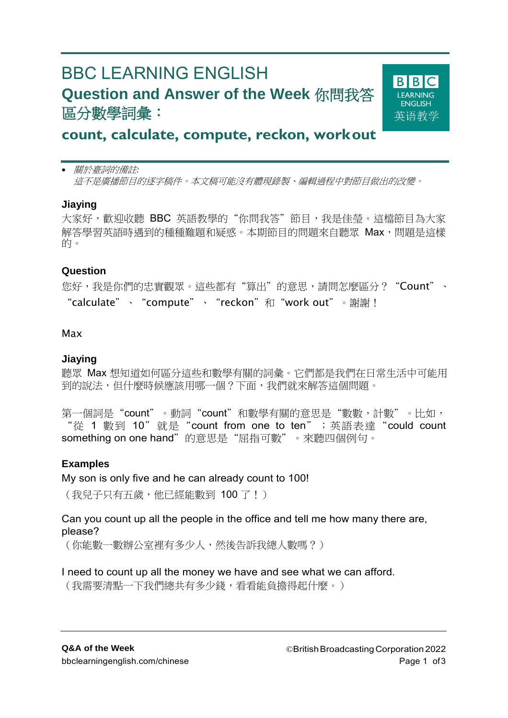# BBC LEARNING ENGLISH **Question and Answer of the Week** 你問我答 區分數學詞彙:



# **count, calculate, compute, reckon, workout**

 關於臺詞的備註*:* 這不是廣播節目的逐字稿件。本文稿可能沒有體現錄製、編輯過程中對節目做出的改變。

#### **Jiaying**

大家好,歡迎收聽 BBC 英語教學的"你問我答"節目,我是佳瑩。這檔節目為大家 解答學習英語時遇到的種種難題和疑惑。本期節目的問題來自聽眾 Max,問題是這樣 的。

#### **Question**

您好,我是你們的忠實觀眾。這些都有"算出"的意思,請問怎麼區分?"Count"、 "calculate"、"compute"、"reckon"和"work out"。謝謝!

#### Max

#### **Jiaying**

聽眾 Max 想知道如何區分這些和數學有關的詞彙。它們都是我們在日常生活中可能用 到的說法,但什麼時候應該用哪一個?下面,我們就來解答這個問題。

第一個詞是"count"。動詞"count"和數學有關的意思是"數數,計數"。比如, "從 1 數到 10"就是"count from one to ten"; 英語表達"could count something on one hand"的意思是"屈指可數"。來聽四個例句。

#### **Examples**

My son is only five and he can already count to 100!

(我兒子只有五歲,他已經能數到 100 了!)

Can you count up all the people in the office and tell me how many there are, please?

(你能數一數辦公室裡有多少人,然後告訴我總人數嗎?)

#### I need to count up all the money we have and see what we can afford.

(我需要清點一下我們總共有多少錢,看看能負擔得起什麼。)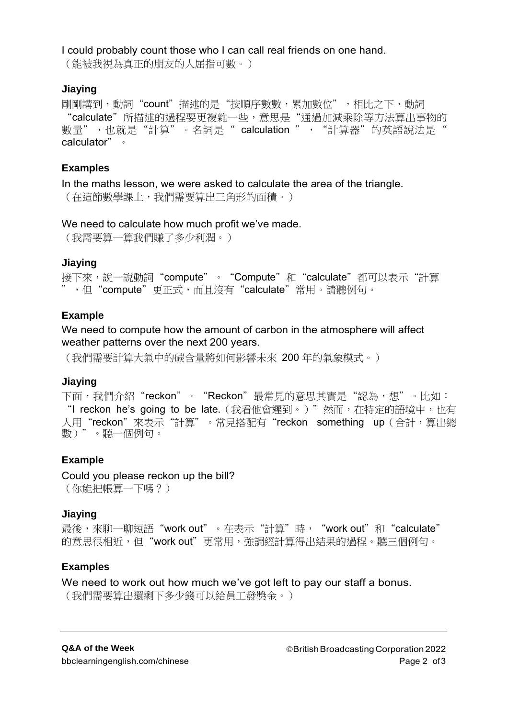#### I could probably count those who I can call real friends on one hand.

(能被我視為真正的朋友的人屈指可數。)

#### **Jiaying**

剛剛講到,動詞"count"描述的是"按順序數數,累加數位",相比之下,動詞 "calculate"所描述的過程要更複雜一些,意思是"通過加減乘除等方法算出事物的 數量",也就是"計算"。名詞是" calculation ", "計算器"的英語說法是" calculator"。

### **Examples**

In the maths lesson, we were asked to calculate the area of the triangle. (在這節數學課上,我們需要算出三角形的面積。)

#### We need to calculate how much profit we've made.

(我需要算一算我們賺了多少利潤。)

#### **Jiaying**

接下來,說一說動詞"compute"。"Compute"和"calculate"都可以表示"計算 ",但"compute"更正式,而且沒有"calculate"常用。請聽例句。

#### **Example**

We need to compute how the amount of carbon in the atmosphere will affect weather patterns over the next 200 years.

(我們需要計算大氣中的碳含量將如何影響未來 200 年的氣象模式。)

#### **Jiaying**

下面,我們介紹"reckon"。"Reckon"最常見的意思其實是"認為,想"。比如: "I reckon he's going to be late. (我看他會遲到。)"然而, 在特定的語境中, 也有 人用"reckon"來表示"計算"。常見搭配有"reckon something up (合計,算出總 數)"。聽一個例句。

# **Example**

Could you please reckon up the bill? (你能把帳算一下嗎?)

#### **Jiaying**

最後,來聊一聊短語"work out"。在表示"計算"時, "work out"和"calculate" 的意思很相近,但"work out"更常用,強調經計算得出結果的過程。聽三個例句。

# **Examples**

We need to work out how much we've got left to pay our staff a bonus. (我們需要算出還剩下多少錢可以給員工發獎金。)